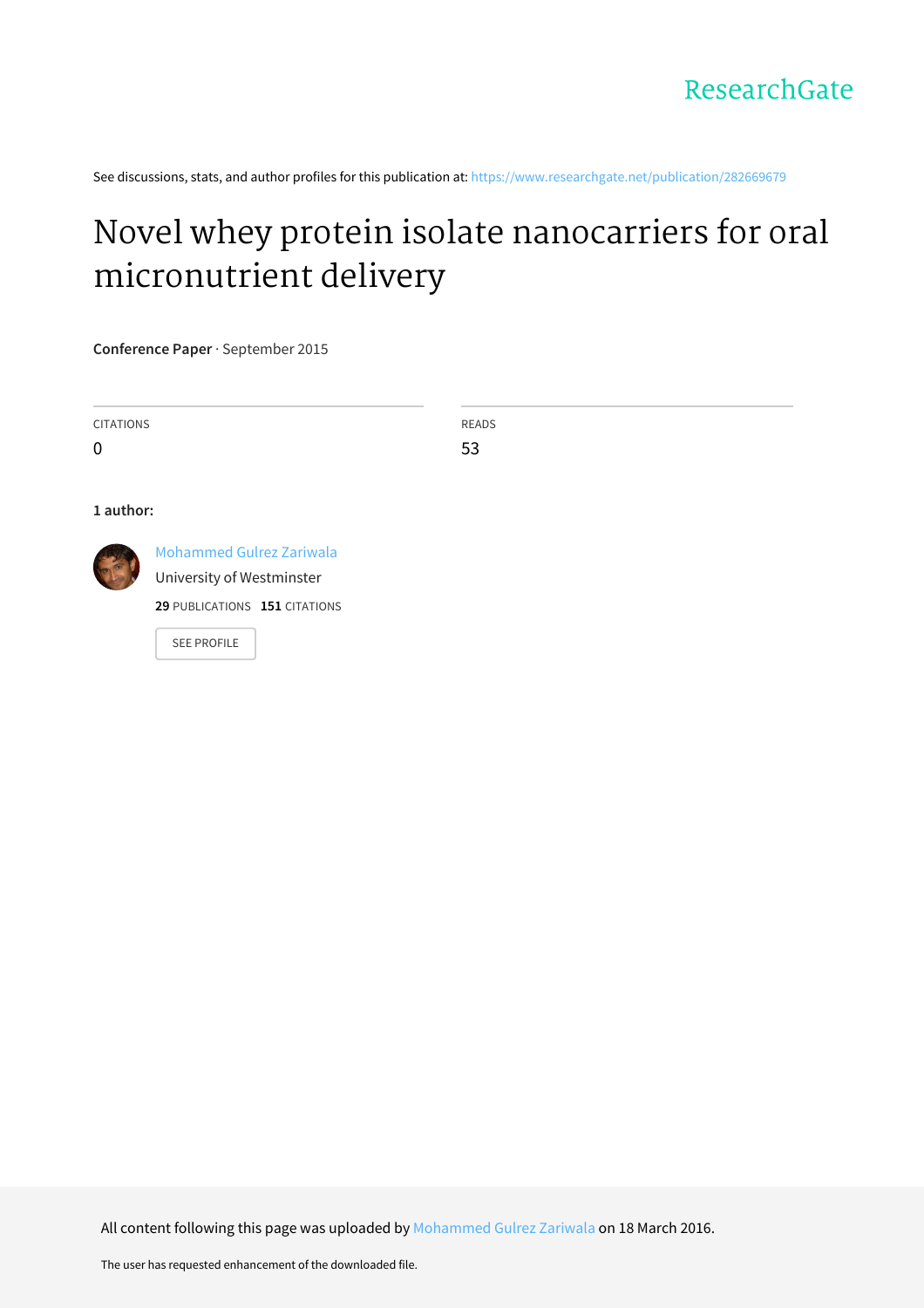See discussions, stats, and author profiles for this publication at: [https://www.researchgate.net/publication/282669679](https://www.researchgate.net/publication/282669679_Novel_whey_protein_isolate_nanocarriers_for_oral_micronutrient_delivery?enrichId=rgreq-926f42575a8f07c6321a720369c97ab7-XXX&enrichSource=Y292ZXJQYWdlOzI4MjY2OTY3OTtBUzozNDA5NzAxOTg1ODUzNTBAMTQ1ODMwNTAzOTAzOQ%3D%3D&el=1_x_2&_esc=publicationCoverPdf)

# Novel whey protein isolate nanocarriers for oral [micronutrient](https://www.researchgate.net/publication/282669679_Novel_whey_protein_isolate_nanocarriers_for_oral_micronutrient_delivery?enrichId=rgreq-926f42575a8f07c6321a720369c97ab7-XXX&enrichSource=Y292ZXJQYWdlOzI4MjY2OTY3OTtBUzozNDA5NzAxOTg1ODUzNTBAMTQ1ODMwNTAzOTAzOQ%3D%3D&el=1_x_3&_esc=publicationCoverPdf) delivery

**Conference Paper** · September 2015

| <b>CITATIONS</b> |                                 | READS |  |
|------------------|---------------------------------|-------|--|
| $\mathbf 0$      |                                 | 53    |  |
|                  |                                 |       |  |
| 1 author:        |                                 |       |  |
|                  | <b>Mohammed Gulrez Zariwala</b> |       |  |
|                  | University of Westminster       |       |  |

**29** PUBLICATIONS **151** CITATIONS

SEE [PROFILE](https://www.researchgate.net/profile/Mohammed_Zariwala?enrichId=rgreq-926f42575a8f07c6321a720369c97ab7-XXX&enrichSource=Y292ZXJQYWdlOzI4MjY2OTY3OTtBUzozNDA5NzAxOTg1ODUzNTBAMTQ1ODMwNTAzOTAzOQ%3D%3D&el=1_x_7&_esc=publicationCoverPdf)

All content following this page was uploaded by [Mohammed](https://www.researchgate.net/profile/Mohammed_Zariwala?enrichId=rgreq-926f42575a8f07c6321a720369c97ab7-XXX&enrichSource=Y292ZXJQYWdlOzI4MjY2OTY3OTtBUzozNDA5NzAxOTg1ODUzNTBAMTQ1ODMwNTAzOTAzOQ%3D%3D&el=1_x_10&_esc=publicationCoverPdf) Gulrez Zariwala on 18 March 2016.